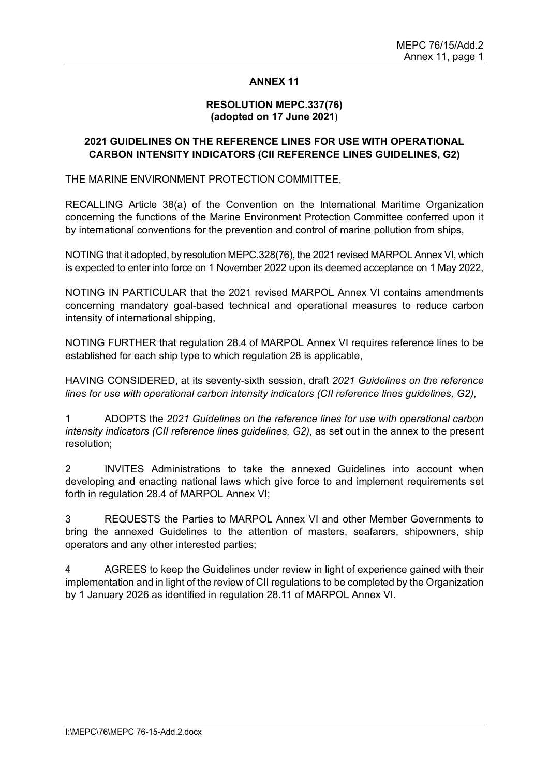#### **ANNEX 11**

#### **RESOLUTION MEPC.337(76) (adopted on 17 June 2021**)

## **2021 GUIDELINES ON THE REFERENCE LINES FOR USE WITH OPERATIONAL CARBON INTENSITY INDICATORS (CII REFERENCE LINES GUIDELINES, G2)**

THE MARINE ENVIRONMENT PROTECTION COMMITTEE,

RECALLING Article 38(a) of the Convention on the International Maritime Organization concerning the functions of the Marine Environment Protection Committee conferred upon it by international conventions for the prevention and control of marine pollution from ships,

NOTING that it adopted, by resolution MEPC.328(76), the 2021 revised MARPOL Annex VI, which is expected to enter into force on 1 November 2022 upon its deemed acceptance on 1 May 2022,

NOTING IN PARTICULAR that the 2021 revised MARPOL Annex VI contains amendments concerning mandatory goal-based technical and operational measures to reduce carbon intensity of international shipping,

NOTING FURTHER that regulation 28.4 of MARPOL Annex VI requires reference lines to be established for each ship type to which regulation 28 is applicable,

HAVING CONSIDERED, at its seventy-sixth session, draft *2021 Guidelines on the reference lines for use with operational carbon intensity indicators (CII reference lines guidelines, G2)*,

1 ADOPTS the *2021 Guidelines on the reference lines for use with operational carbon intensity indicators (CII reference lines guidelines, G2)*, as set out in the annex to the present resolution;

2 INVITES Administrations to take the annexed Guidelines into account when developing and enacting national laws which give force to and implement requirements set forth in regulation 28.4 of MARPOL Annex VI;

3 REQUESTS the Parties to MARPOL Annex VI and other Member Governments to bring the annexed Guidelines to the attention of masters, seafarers, shipowners, ship operators and any other interested parties;

4 AGREES to keep the Guidelines under review in light of experience gained with their implementation and in light of the review of CII regulations to be completed by the Organization by 1 January 2026 as identified in regulation 28.11 of MARPOL Annex VI.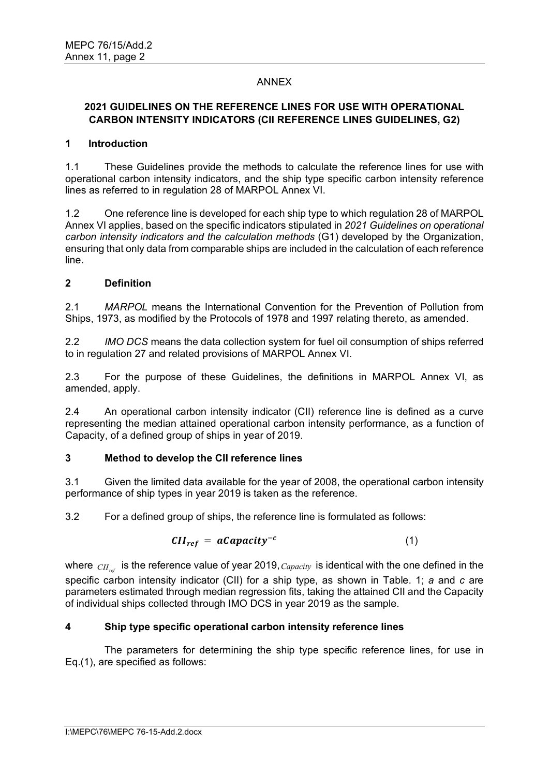## ANNEX

## **2021 GUIDELINES ON THE REFERENCE LINES FOR USE WITH OPERATIONAL CARBON INTENSITY INDICATORS (CII REFERENCE LINES GUIDELINES, G2)**

#### **1 Introduction**

1.1 These Guidelines provide the methods to calculate the reference lines for use with operational carbon intensity indicators, and the ship type specific carbon intensity reference lines as referred to in regulation 28 of MARPOL Annex VI.

1.2 One reference line is developed for each ship type to which regulation 28 of MARPOL Annex VI applies, based on the specific indicators stipulated in *2021 Guidelines on operational carbon intensity indicators and the calculation methods* (G1) developed by the Organization, ensuring that only data from comparable ships are included in the calculation of each reference line.

## **2 Definition**

2.1 *MARPOL* means the International Convention for the Prevention of Pollution from Ships, 1973, as modified by the Protocols of 1978 and 1997 relating thereto, as amended.

2.2 *IMO DCS* means the data collection system for fuel oil consumption of ships referred to in regulation 27 and related provisions of MARPOL Annex VI.

2.3 For the purpose of these Guidelines, the definitions in MARPOL Annex VI, as amended, apply.

2.4 An operational carbon intensity indicator (CII) reference line is defined as a curve representing the median attained operational carbon intensity performance, as a function of Capacity, of a defined group of ships in year of 2019.

#### **3 Method to develop the CII reference lines**

3.1 Given the limited data available for the year of 2008, the operational carbon intensity performance of ship types in year 2019 is taken as the reference.

3.2 For a defined group of ships, the reference line is formulated as follows:

$$
CII_{ref} = aCapacity^{-c}
$$
 (1)

where  $_{\text{CH}_{\text{ref}}}$  is the reference value of year 2019, *Capacity* is identical with the one defined in the specific carbon intensity indicator (CII) for a ship type, as shown in Table. 1; *a* and *c* are parameters estimated through median regression fits, taking the attained CII and the Capacity of individual ships collected through IMO DCS in year 2019 as the sample.

# **4 Ship type specific operational carbon intensity reference lines**

The parameters for determining the ship type specific reference lines, for use in Eq.(1), are specified as follows: